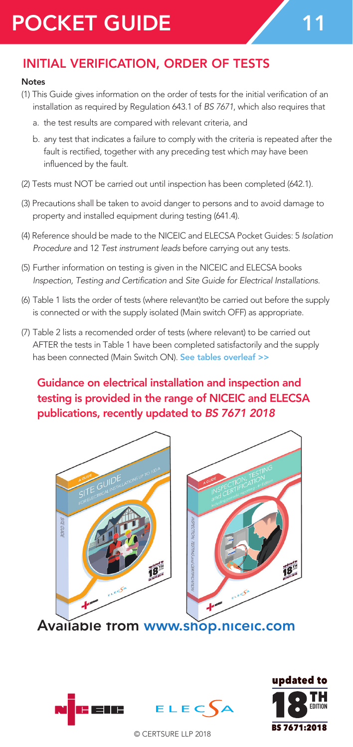# POCKET GUIDE 11

## INITIAL VERIFICATION, ORDER OF TESTS

#### Notes

- (1) This Guide gives information on the order of tests for the initial verification of an installation as required by Regulation 643.1 of *BS 7671*, which also requires that
	- a. the test results are compared with relevant criteria, and
	- b. any test that indicates a failure to comply with the criteria is repeated after the fault is rectified, together with any preceding test which may have been influenced by the fault.
- (2) Tests must NOT be carried out until inspection has been completed (642.1).
- (3) Precautions shall be taken to avoid danger to persons and to avoid damage to property and installed equipment during testing (641.4).
- (4) Reference should be made to the NICEIC and ELECSA Pocket Guides: 5 *Isolation Procedure* and 12 *Test instrument leads* before carrying out any tests.
- (5) Further information on testing is given in the NICEIC and ELECSA books *Inspection, Testing and Certification* and *Site Guide for Electrical Installations*.
- (6) Table 1 lists the order of tests (where relevant)to be carried out before the supply is connected or with the supply isolated (Main switch OFF) as appropriate.
- (7) Table 2 lists a recomended order of tests (where relevant) to be carried out AFTER the tests in Table 1 have been completed satisfactorily and the supply has been connected (Main Switch ON). See tables overleaf >>

## Guidance on electrical installation and inspection and testing is provided in the range of NICEIC and ELECSA publications, recently updated to *BS 7671 2018*



Available from www.shop.niceic.com





© CERTSURE LLP 2018